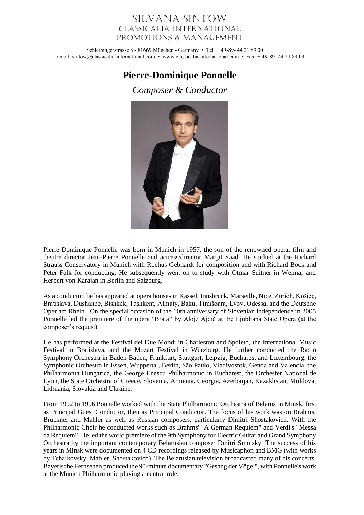## Silvana Sintow Classicalia International Promotions & Management

Schleibingerstrasse 8 - 81669 München - Germany • Tel: + 49-89- 44 21 89 00 e-mail: sintow@classicalia-international.com • www.classicalia-international.com • Fax: + 49-89- 44 21 89 03

## **Pierre-Dominique Ponnelle**

*Composer & Conductor*



Pierre-Dominique Ponnelle was born in Munich in 1957, the son of the renowned opera, film and theatre director Jean-Pierre Ponnelle and actress/director Margit Saad. He studied at the Richard Strauss Conservatory in Munich with Rochus Gebhardt for composition and with Richard Böck and Peter Falk for conducting. He subsequently went on to study with Otmar Suitner in Weimar and Herbert von Karajan in Berlin and Salzburg.

As a conductor, he has appeared at opera houses in Kassel, Innsbruck, Marseille, Nice, Zurich, Košice, Bratislava, Dushanbe, Bishkek, Tashkent, Almaty, Baku, Timišoara, Lvov, Odessa, and the Deutsche Oper am Rhein. On the special occasion of the 10th anniversary of Slovenian independence in 2005 Ponnelle led the premiere of the opera "Brata" by Alojz Ajdič at the Ljubljana State Opera (at the composer's request).

He has performed at the Festival dei Due Mondi in Charleston and Spoleto, the International Music Festival in Bratislava, and the Mozart Festival in Würzburg. He further conducted the Radio Symphony Orchestra in Baden-Baden, Frankfurt, Stuttgart, Leipzig, Bucharest and Luxembourg, the Symphonic Orchestra in Essen, Wuppertal, Berlin, São Paulo, Vladivostok, Genoa and Valencia, the Philharmonia Hungarica, the George Enescu Philharmonic in Bucharest, the Orchester National de Lyon, the State Orchestra of Greece, Slovenia, Armenia, Georgia, Azerbaijan, Kazakhstan, Moldova, Lithuania, Slovakia and Ukraine.

From 1992 to 1996 Ponnelle worked with the State Philharmonic Orchestra of Belarus in Minsk, first as Principal Guest Conductor, then as Principal Conductor. The focus of his work was on Brahms, Bruckner and Mahler as well as Russian composers, particularly Dimitri Shostakovich. With the Philharmonic Choir he conducted works such as Brahms' "A German Requiem" and Verdi's "Messa da Requiem". He led the world premiere of the 9th Symphony for Electric Guitar and Grand Symphony Orchestra by the important contemporary Belarusian composer Dmitri Smolsky. The success of his years in Minsk were documented on 4 CD recordings released by Musicaphon and BMG (with works by Tchaikovsky, Mahler, Shostakovich). The Belarusian television broadcasted many of his concerts. Bayerische Fernsehen produced the 90-minute documentary "Gesang der Vögel", with Ponnelle's work at the Munich Philharmonic playing a central role.